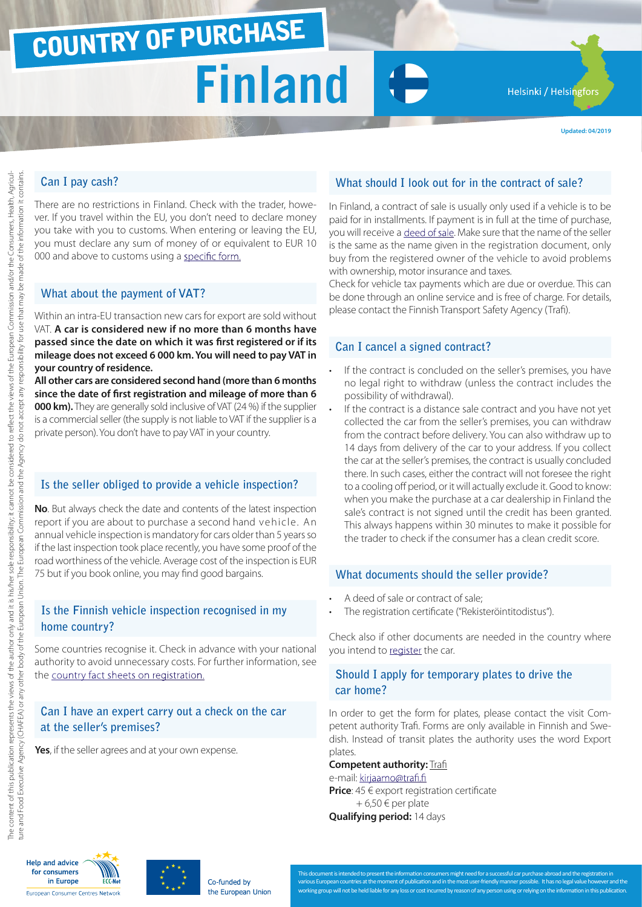# COUNTRY OF PURCHASE

# **Finland**

Helsinki / Helsingfors

**Updated: 04/2019**

# **Can I pay cash?**

There are no restrictions in Finland. Check with the trader, however. If you travel within the EU, you don't need to declare money you take with you to customs. When entering or leaving the EU, you must declare any sum of money of or equivalent to EUR 10 000 and above to customs using a [specific form.](http://ec.europa.eu/taxation_customs/resources/documents/customs/customs_controls/cash_controls/declaration_forms/declaration_form_fi_en.pdf)

#### **What about the payment of VAT?**

Within an intra-EU transaction new cars for export are sold without VAT. **A car is considered new if no more than 6 months have passed since the date on which it was first registered or if its mileage does not exceed 6 000 km. You will need to pay VAT in your country of residence.**

**All other cars are considered second hand (more than 6 months since the date of first registration and mileage of more than 6 000 km).** They are generally sold inclusive of VAT (24 %) if the supplier is a commercial seller (the supply is not liable to VAT if the supplier is a private person). You don't have to pay VAT in your country.

## **Is the seller obliged to provide a vehicle inspection?**

**No**. But always check the date and contents of the latest inspection report if you are about to purchase a second hand vehicle. An annual vehicle inspection is mandatory for cars older than 5 years so if the last inspection took place recently, you have some proof of the road worthiness of the vehicle. Average cost of the inspection is EUR 75 but if you book online, you may find good bargains.

#### **Is the Finnish vehicle inspection recognised in my home country?**

Some countries recognise it. Check in advance with your national authority to avoid unnecessary costs. For further information, see the [country fact sheets on registration.](http://www.europe-consommateurs.eu/en/consumer-topics/on-the-road/buying-a-car/cross-border-car-purchase-and-registration/)

## **Can I have an expert carry out a check on the car at the seller's premises?**

**Yes**, if the seller agrees and at your own expense.

## **What should I look out for in the contract of sale?**

In Finland, a contract of sale is usually only used if a vehicle is to be paid for in installments. If payment is in full at the time of purchase, you will receive a [deed of sale.](http://lomake.fi/forms/pdf/TRAFI/B122/en) Make sure that the name of the seller is the same as the name given in the registration document, only buy from the registered owner of the vehicle to avoid problems with ownership, motor insurance and taxes.

Check for vehicle tax payments which are due or overdue. This can be done through an online service and is free of charge. For details, please contact the Finnish Transport Safety Agency (Trafi).

#### **Can I cancel a signed contract?**

- If the contract is concluded on the seller's premises, you have no legal right to withdraw (unless the contract includes the possibility of withdrawal).
- If the contract is a distance sale contract and you have not yet collected the car from the seller's premises, you can withdraw from the contract before delivery. You can also withdraw up to 14 days from delivery of the car to your address. If you collect the car at the seller's premises, the contract is usually concluded there. In such cases, either the contract will not foresee the right to a cooling off period, or it will actually exclude it. Good to know: when you make the purchase at a car dealership in Finland the sale's contract is not signed until the credit has been granted. This always happens within 30 minutes to make it possible for the trader to check if the consumer has a clean credit score.

#### **What documents should the seller provide?**

- A deed of sale or contract of sale;
- The registration certificate ("Rekisteröintitodistus").

Check also if other documents are needed in the country where you intend to [register](http://www.europe-consommateurs.eu/en/consumer-topics/on-the-road/buying-a-car/cross-border-car-purchase-and-registration/) the car.

## **Should I apply for temporary plates to drive the car home?**

In order to get the form for plates, please contact the visit Competent authority Trafi. Forms are only available in Finnish and Swedish. Instead of transit plates the authority uses the word Export plates.

#### **Competent authority:** [Trafi](https://www.suomi.fi/palvelut/lomake/vientirekisterointihakemus-liikenteen-turvallisuusvirasto-trafi/4b7c9b7c-f08c-4ce3-bcc0-a330fac8785d)

e-mail: [kirjaamo@trafi.fi](mailto:kirjaamo%40trafi.fi?subject=) **Price**: 45 € export registration certificate  $+ 6.50 \in$  per plate

**Qualifying period:** 14 days